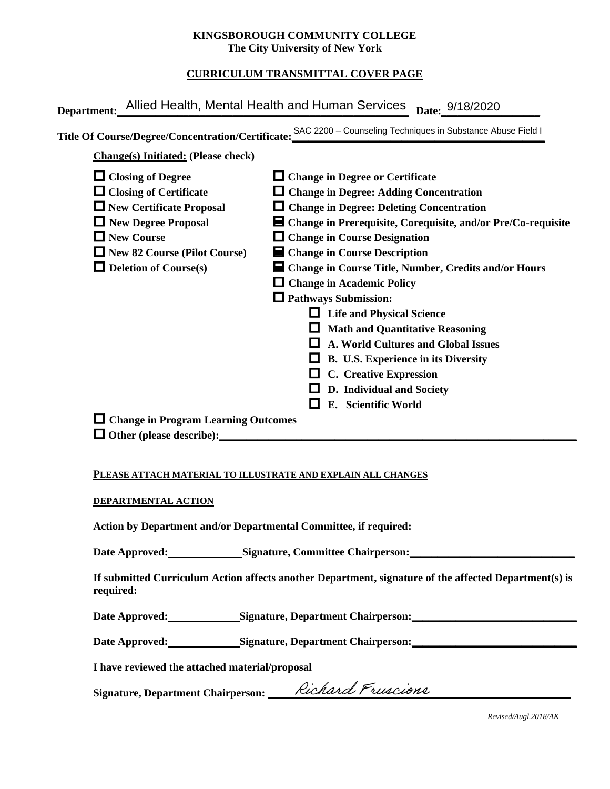#### **KINGSBOROUGH COMMUNITY COLLEGE The City University of New York**

# **CURRICULUM TRANSMITTAL COVER PAGE**

| Department: Allied Health, Mental Health and Human Services                                                                                                                                                     | Date: 9/18/2020<br>Title Of Course/Degree/Concentration/Certificate: SAC 2200 - Counseling Techniques in Substance Abuse Field I                                                                                                                                                                                                                                                                                                                                                                                                                                                                                                                                                 |
|-----------------------------------------------------------------------------------------------------------------------------------------------------------------------------------------------------------------|----------------------------------------------------------------------------------------------------------------------------------------------------------------------------------------------------------------------------------------------------------------------------------------------------------------------------------------------------------------------------------------------------------------------------------------------------------------------------------------------------------------------------------------------------------------------------------------------------------------------------------------------------------------------------------|
| <b>Change(s)</b> Initiated: (Please check)                                                                                                                                                                      |                                                                                                                                                                                                                                                                                                                                                                                                                                                                                                                                                                                                                                                                                  |
| $\Box$ Closing of Degree<br>$\Box$ Closing of Certificate<br>$\Box$ New Certificate Proposal<br>New Degree Proposal<br>$\Box$ New Course<br>$\Box$ New 82 Course (Pilot Course)<br>$\Box$ Deletion of Course(s) | $\Box$ Change in Degree or Certificate<br>$\Box$ Change in Degree: Adding Concentration<br>$\Box$ Change in Degree: Deleting Concentration<br>■ Change in Prerequisite, Corequisite, and/or Pre/Co-requisite<br>$\Box$ Change in Course Designation<br>$\blacksquare$ Change in Course Description<br>■ Change in Course Title, Number, Credits and/or Hours<br>$\Box$ Change in Academic Policy<br>$\Box$ Pathways Submission:<br>$\Box$ Life and Physical Science<br><b>Math and Quantitative Reasoning</b><br>A. World Cultures and Global Issues<br>B. U.S. Experience in its Diversity<br><b>C.</b> Creative Expression<br>D. Individual and Society<br>E. Scientific World |
| $\Box$ Change in Program Learning Outcomes                                                                                                                                                                      |                                                                                                                                                                                                                                                                                                                                                                                                                                                                                                                                                                                                                                                                                  |

#### **PLEASE ATTACH MATERIAL TO ILLUSTRATE AND EXPLAIN ALL CHANGES**

#### **DEPARTMENTAL ACTION**

**Action by Department and/or Departmental Committee, if required:**

Date Approved: Signature, Committee Chairperson:

**If submitted Curriculum Action affects another Department, signature of the affected Department(s) is required:**

Date Approved: Signature, Department Chairperson:

Date Approved: Signature, Department Chairperson: Network and Approved: Network and Separature, Department Chairperson:

**I have reviewed the attached material/proposal**

Signature, Department Chairperson: \_\_\_\_\_*Richard Pruscione* 

*Revised/Augl.2018/AK*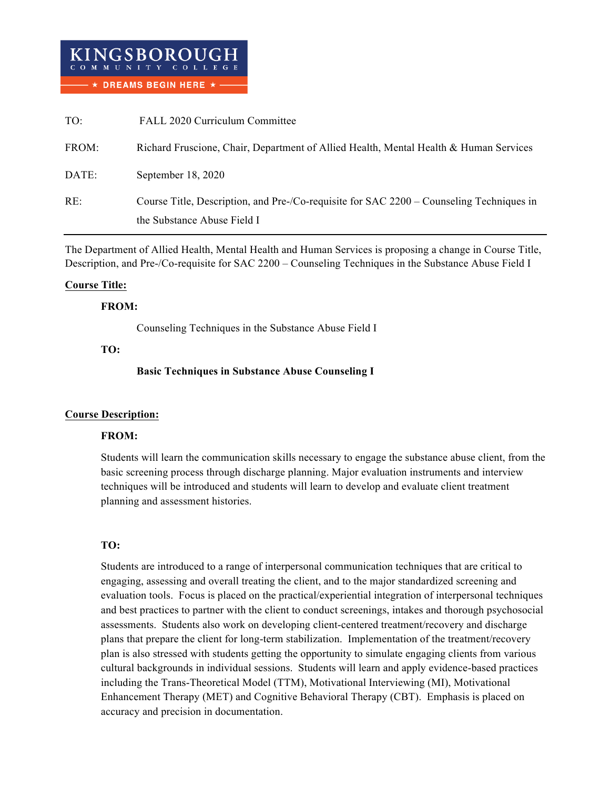| TO:   | FALL 2020 Curriculum Committee                                                           |
|-------|------------------------------------------------------------------------------------------|
| FROM: | Richard Fruscione, Chair, Department of Allied Health, Mental Health & Human Services    |
| DATE: | September 18, 2020                                                                       |
| RE:   | Course Title, Description, and Pre-/Co-requisite for SAC 2200 – Counseling Techniques in |
|       | the Substance Abuse Field I                                                              |

The Department of Allied Health, Mental Health and Human Services is proposing a change in Course Title, Description, and Pre-/Co-requisite for SAC 2200 – Counseling Techniques in the Substance Abuse Field I

## **Course Title:**

## **FROM:**

Counseling Techniques in the Substance Abuse Field I

#### **TO:**

## **Basic Techniques in Substance Abuse Counseling I**

## **Course Description:**

## **FROM:**

Students will learn the communication skills necessary to engage the substance abuse client, from the basic screening process through discharge planning. Major evaluation instruments and interview techniques will be introduced and students will learn to develop and evaluate client treatment planning and assessment histories.

## **TO:**

Students are introduced to a range of interpersonal communication techniques that are critical to engaging, assessing and overall treating the client, and to the major standardized screening and evaluation tools. Focus is placed on the practical/experiential integration of interpersonal techniques and best practices to partner with the client to conduct screenings, intakes and thorough psychosocial assessments. Students also work on developing client-centered treatment/recovery and discharge plans that prepare the client for long-term stabilization. Implementation of the treatment/recovery plan is also stressed with students getting the opportunity to simulate engaging clients from various cultural backgrounds in individual sessions. Students will learn and apply evidence-based practices including the Trans-Theoretical Model (TTM), Motivational Interviewing (MI), Motivational Enhancement Therapy (MET) and Cognitive Behavioral Therapy (CBT). Emphasis is placed on accuracy and precision in documentation.